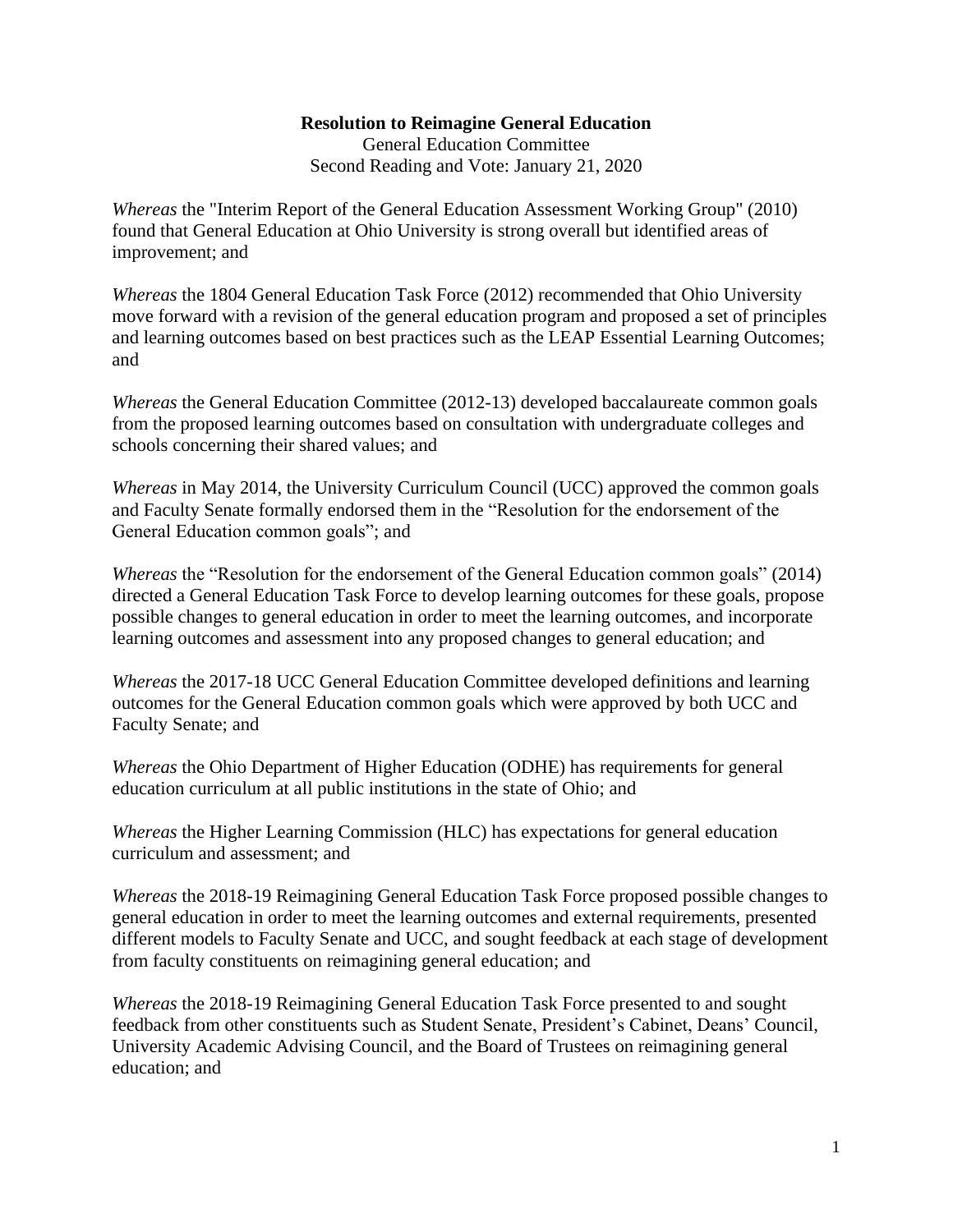#### **Resolution to Reimagine General Education**

General Education Committee Second Reading and Vote: January 21, 2020

*Whereas* the "Interim Report of the General Education Assessment Working Group" (2010) found that General Education at Ohio University is strong overall but identified areas of improvement; and

*Whereas* the 1804 General Education Task Force (2012) recommended that Ohio University move forward with a revision of the general education program and proposed a set of principles and learning outcomes based on best practices such as the LEAP Essential Learning Outcomes; and

*Whereas* the General Education Committee (2012-13) developed baccalaureate common goals from the proposed learning outcomes based on consultation with undergraduate colleges and schools concerning their shared values; and

*Whereas* in May 2014, the University Curriculum Council (UCC) approved the common goals and Faculty Senate formally endorsed them in the "Resolution for the endorsement of the General Education common goals"; and

*Whereas* the "Resolution for the endorsement of the General Education common goals" (2014) directed a General Education Task Force to develop learning outcomes for these goals, propose possible changes to general education in order to meet the learning outcomes, and incorporate learning outcomes and assessment into any proposed changes to general education; and

*Whereas* the 2017-18 UCC General Education Committee developed definitions and learning outcomes for the General Education common goals which were approved by both UCC and Faculty Senate; and

*Whereas* the Ohio Department of Higher Education (ODHE) has requirements for general education curriculum at all public institutions in the state of Ohio; and

*Whereas* the Higher Learning Commission (HLC) has expectations for general education curriculum and assessment; and

*Whereas* the 2018-19 Reimagining General Education Task Force proposed possible changes to general education in order to meet the learning outcomes and external requirements, presented different models to Faculty Senate and UCC, and sought feedback at each stage of development from faculty constituents on reimagining general education; and

*Whereas* the 2018-19 Reimagining General Education Task Force presented to and sought feedback from other constituents such as Student Senate, President's Cabinet, Deans' Council, University Academic Advising Council, and the Board of Trustees on reimagining general education; and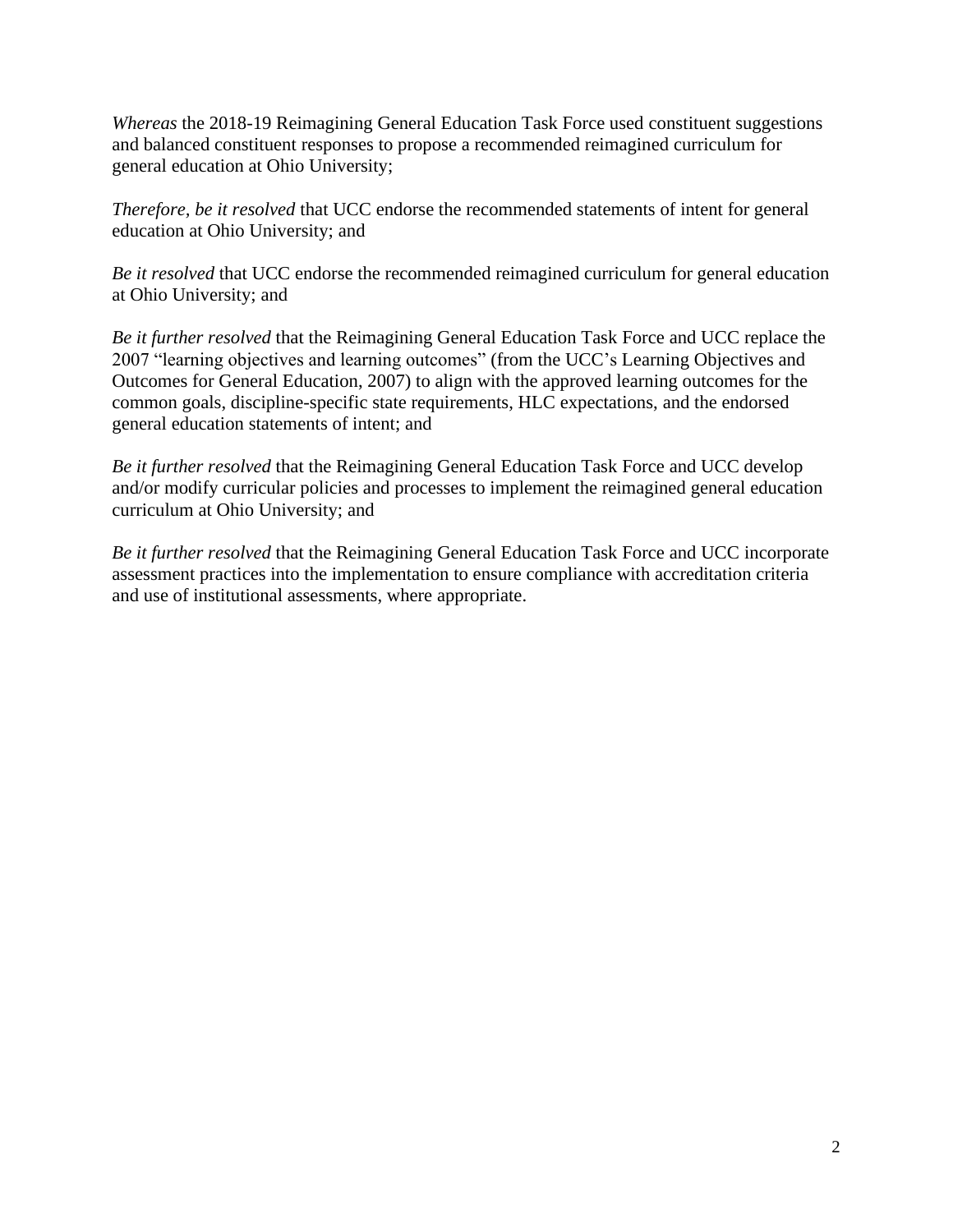*Whereas* the 2018-19 Reimagining General Education Task Force used constituent suggestions and balanced constituent responses to propose a recommended reimagined curriculum for general education at Ohio University;

*Therefore, be it resolved* that UCC endorse the recommended statements of intent for general education at Ohio University; and

*Be it resolved* that UCC endorse the recommended reimagined curriculum for general education at Ohio University; and

*Be it further resolved* that the Reimagining General Education Task Force and UCC replace the 2007 "learning objectives and learning outcomes" (from the UCC's Learning Objectives and Outcomes for General Education, 2007) to align with the approved learning outcomes for the common goals, discipline-specific state requirements, HLC expectations, and the endorsed general education statements of intent; and

*Be it further resolved* that the Reimagining General Education Task Force and UCC develop and/or modify curricular policies and processes to implement the reimagined general education curriculum at Ohio University; and

*Be it further resolved* that the Reimagining General Education Task Force and UCC incorporate assessment practices into the implementation to ensure compliance with accreditation criteria and use of institutional assessments, where appropriate.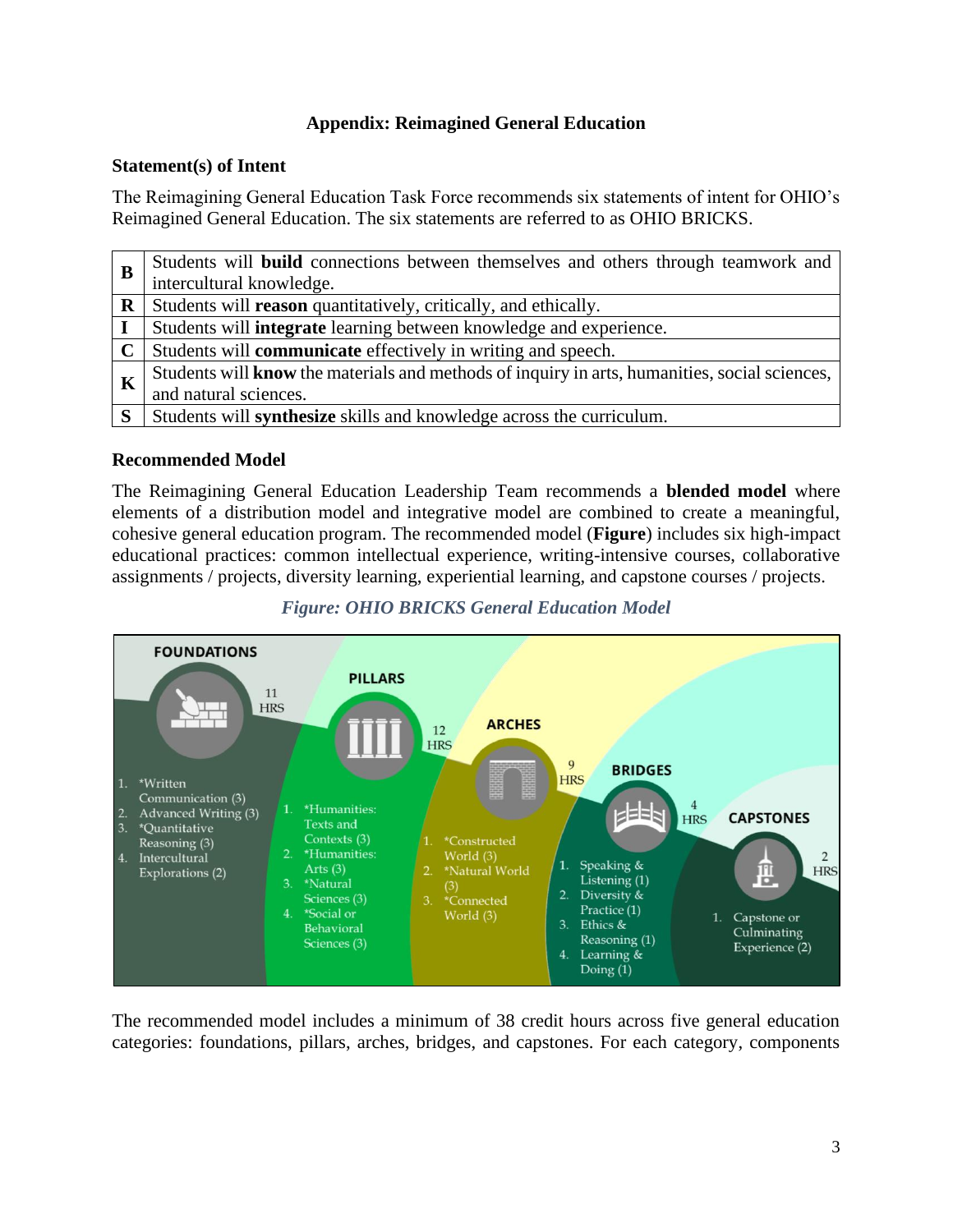# **Appendix: Reimagined General Education**

## **Statement(s) of Intent**

The Reimagining General Education Task Force recommends six statements of intent for OHIO's Reimagined General Education. The six statements are referred to as OHIO BRICKS.

| B           | Students will <b>build</b> connections between themselves and others through teamwork and     |
|-------------|-----------------------------------------------------------------------------------------------|
|             | intercultural knowledge.                                                                      |
| $\mathbf R$ | Students will reason quantitatively, critically, and ethically.                               |
| $\mathbf I$ | Students will <b>integrate</b> learning between knowledge and experience.                     |
|             | Students will <b>communicate</b> effectively in writing and speech.                           |
| K           | Students will know the materials and methods of inquiry in arts, humanities, social sciences, |
|             | and natural sciences.                                                                         |
| S.          | Students will <b>synthesize</b> skills and knowledge across the curriculum.                   |

### **Recommended Model**

The Reimagining General Education Leadership Team recommends a **blended model** where elements of a distribution model and integrative model are combined to create a meaningful, cohesive general education program. The recommended model (**Figure**) includes six high-impact educational practices: common intellectual experience, writing-intensive courses, collaborative assignments / projects, diversity learning, experiential learning, and capstone courses / projects.



*Figure: OHIO BRICKS General Education Model*

The recommended model includes a minimum of 38 credit hours across five general education categories: foundations, pillars, arches, bridges, and capstones. For each category, components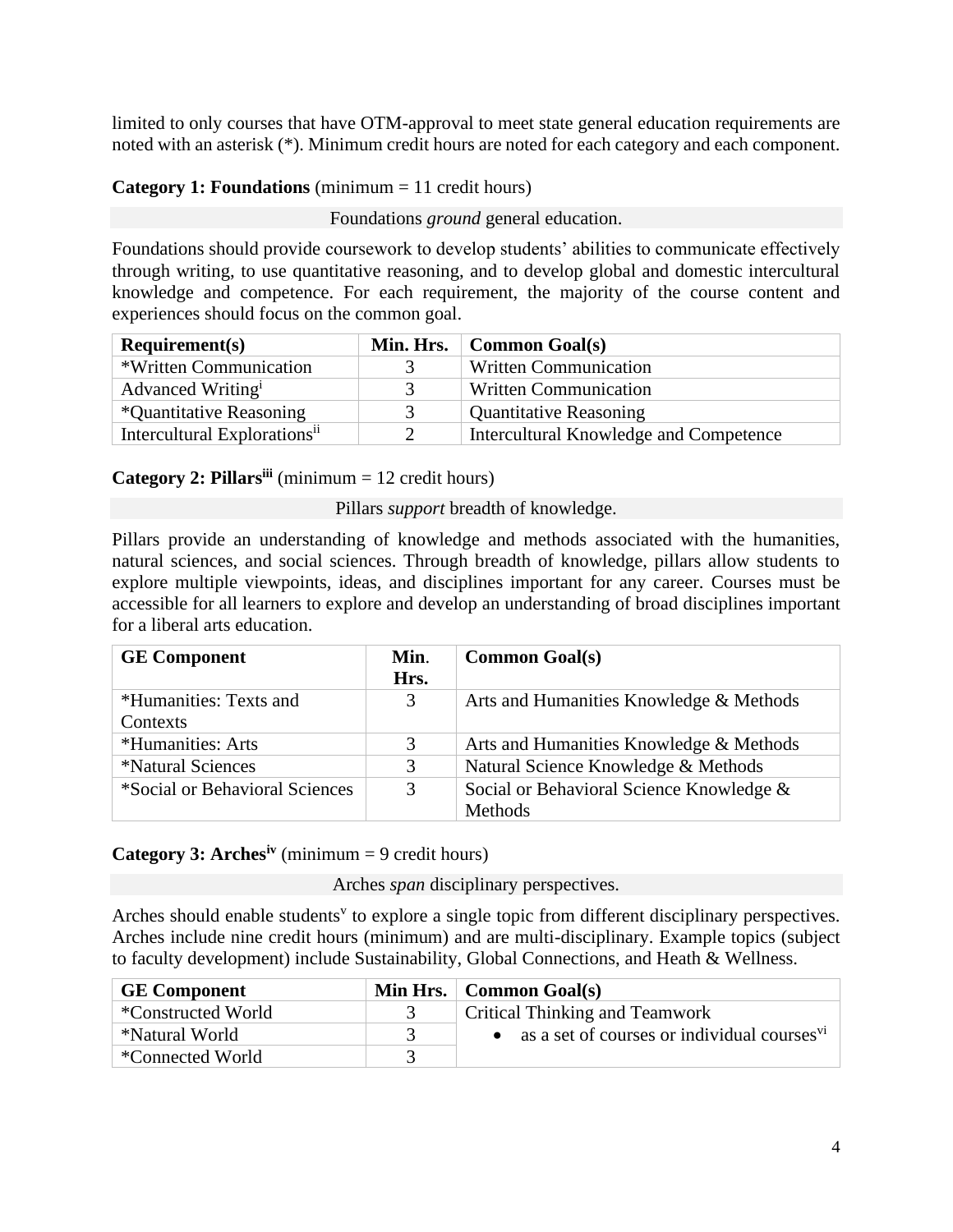limited to only courses that have OTM-approval to meet state general education requirements are noted with an asterisk (\*). Minimum credit hours are noted for each category and each component.

# **Category 1: Foundations** (minimum = 11 credit hours)

Foundations *ground* general education.

Foundations should provide coursework to develop students' abilities to communicate effectively through writing, to use quantitative reasoning, and to develop global and domestic intercultural knowledge and competence. For each requirement, the majority of the course content and experiences should focus on the common goal.

| Required(s)                              |               | Min. Hrs. $\vert$ Common Goal(s)       |
|------------------------------------------|---------------|----------------------------------------|
| *Written Communication                   |               | <b>Written Communication</b>           |
| Advanced Writing <sup>i</sup>            |               | <b>Written Communication</b>           |
| *Quantitative Reasoning                  | 3             | <b>Quantitative Reasoning</b>          |
| Intercultural Explorations <sup>ii</sup> | $\mathcal{D}$ | Intercultural Knowledge and Competence |

# **Category 2: Pillarsiii** (minimum = 12 credit hours)

Pillars *support* breadth of knowledge.

Pillars provide an understanding of knowledge and methods associated with the humanities, natural sciences, and social sciences. Through breadth of knowledge, pillars allow students to explore multiple viewpoints, ideas, and disciplines important for any career. Courses must be accessible for all learners to explore and develop an understanding of broad disciplines important for a liberal arts education.

| <b>GE Component</b>             | Min.<br>Hrs. | <b>Common Goal(s)</b>                    |
|---------------------------------|--------------|------------------------------------------|
| *Humanities: Texts and          | 3            | Arts and Humanities Knowledge & Methods  |
| Contexts                        |              |                                          |
| *Humanities: Arts               | 3            | Arts and Humanities Knowledge & Methods  |
| <i><b>*Natural Sciences</b></i> | 3            | Natural Science Knowledge & Methods      |
| *Social or Behavioral Sciences  | 3            | Social or Behavioral Science Knowledge & |
|                                 |              | <b>Methods</b>                           |

# **Category 3: Arches<sup>iv</sup>** (minimum = 9 credit hours)

Arches *span* disciplinary perspectives.

Arches should enable students<sup>v</sup> to explore a single topic from different disciplinary perspectives. Arches include nine credit hours (minimum) and are multi-disciplinary. Example topics (subject to faculty development) include Sustainability, Global Connections, and Heath & Wellness.

| <b>GE Component</b> | Min Hrs. $\vert$ Common Goal(s)                            |
|---------------------|------------------------------------------------------------|
| *Constructed World  | Critical Thinking and Teamwork                             |
| *Natural World      | • as a set of courses or individual courses $\overline{v}$ |
| *Connected World    |                                                            |